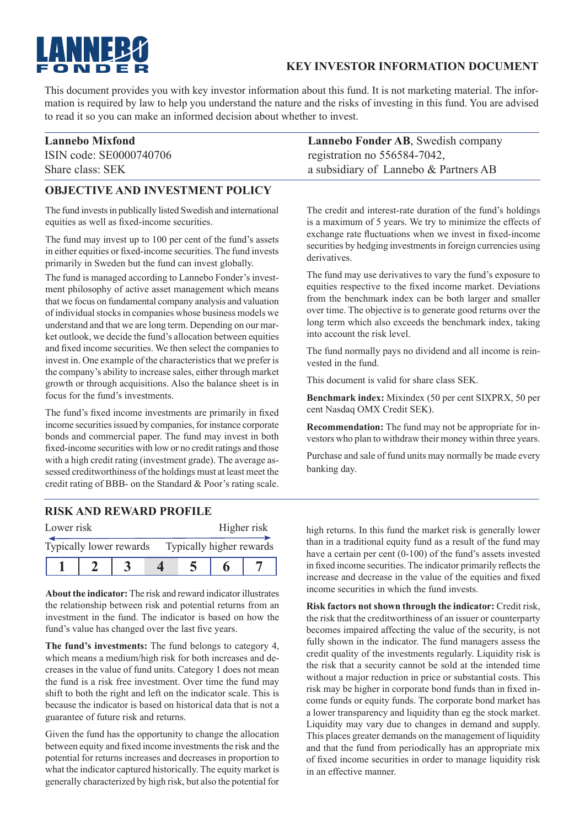# **LANNEBC**

#### **KEY INVESTOR INFORMATION DOCUMENT**

This document provides you with key investor information about this fund. It is not marketing material. The information is required by law to help you understand the nature and the risks of investing in this fund. You are advised to read it so you can make an informed decision about whether to invest.

## **OBJECTIVE AND INVESTMENT POLICY**

The fund invests in publically listed Swedish and international equities as well as fixed-income securities.

The fund may invest up to 100 per cent of the fund's assets in either equities or fixed-income securities. The fund invests primarily in Sweden but the fund can invest globally.

The fund is managed according to Lannebo Fonder's investment philosophy of active asset management which means that we focus on fundamental company analysis and valuation of individual stocks in companies whose business models we understand and that we are long term. Depending on our market outlook, we decide the fund's allocation between equities and fixed income securities. We then select the companies to invest in. One example of the characteristics that we prefer is the company's ability to increase sales, either through market growth or through acquisitions. Also the balance sheet is in focus for the fund's investments.

The fund's fixed income investments are primarily in fixed income securities issued by companies, for instance corporate bonds and commercial paper. The fund may invest in both fixed-income securities with low or no credit ratings and those with a high credit rating (investment grade). The average assessed creditworthiness of the holdings must at least meet the credit rating of BBB- on the Standard & Poor's rating scale.

### **RISK AND REWARD PROFILE**

| Lower risk              |  | Higher risk              |  |  |  |
|-------------------------|--|--------------------------|--|--|--|
| Typically lower rewards |  | Typically higher rewards |  |  |  |
|                         |  |                          |  |  |  |

**About the indicator:** The risk and reward indicator illustrates the relationship between risk and potential returns from an investment in the fund. The indicator is based on how the fund's value has changed over the last five years.

**The fund's investments:** The fund belongs to category 4, which means a medium/high risk for both increases and decreases in the value of fund units. Category 1 does not mean the fund is a risk free investment. Over time the fund may shift to both the right and left on the indicator scale. This is because the indicator is based on historical data that is not a guarantee of future risk and returns.

Given the fund has the opportunity to change the allocation between equity and fixed income investments the risk and the potential for returns increases and decreases in proportion to what the indicator captured historically. The equity market is generally characterized by high risk, but also the potential for

**Lannebo Mixfond Lannebo Fonder AB**, Swedish company ISIN code: SE0000740706 registration no 556584-7042, Share class: SEK a subsidiary of Lannebo & Partners AB

> The credit and interest-rate duration of the fund's holdings is a maximum of 5 years. We try to minimize the effects of exchange rate fluctuations when we invest in fixed-income securities by hedging investments in foreign currencies using derivatives.

> The fund may use derivatives to vary the fund's exposure to equities respective to the fixed income market. Deviations from the benchmark index can be both larger and smaller over time. The objective is to generate good returns over the long term which also exceeds the benchmark index, taking into account the risk level.

> The fund normally pays no dividend and all income is reinvested in the fund.

This document is valid for share class SEK.

**Benchmark index:** Mixindex (50 per cent SIXPRX, 50 per cent Nasdaq OMX Credit SEK).

**Recommendation:** The fund may not be appropriate for investors who plan to withdraw their money within three years.

Purchase and sale of fund units may normally be made every banking day.

high returns. In this fund the market risk is generally lower than in a traditional equity fund as a result of the fund may have a certain per cent (0-100) of the fund's assets invested in fixed income securities. The indicator primarily reflects the increase and decrease in the value of the equities and fixed income securities in which the fund invests.

**Risk factors not shown through the indicator:** Credit risk, the risk that the creditworthiness of an issuer or counterparty becomes impaired affecting the value of the security, is not fully shown in the indicator. The fund managers assess the credit quality of the investments regularly. Liquidity risk is the risk that a security cannot be sold at the intended time without a major reduction in price or substantial costs. This risk may be higher in corporate bond funds than in fixed income funds or equity funds. The corporate bond market has a lower transparency and liquidity than eg the stock market. Liquidity may vary due to changes in demand and supply. This places greater demands on the management of liquidity and that the fund from periodically has an appropriate mix of fixed income securities in order to manage liquidity risk in an effective manner.